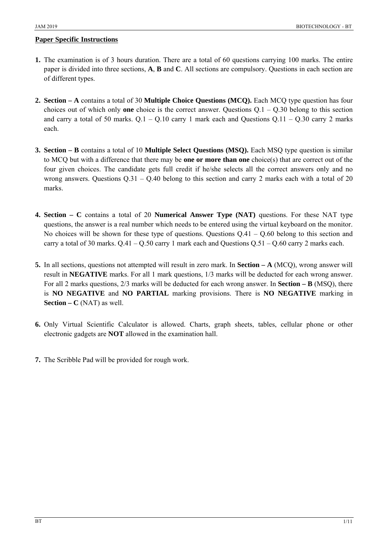- **1.** The examination is of 3 hours duration. There are a total of 60 questions carrying 100 marks. The entire paper is divided into three sections, **A**, **B** and **C**. All sections are compulsory. Questions in each section are of different types.
- **2. Section A** contains a total of 30 **Multiple Choice Questions (MCQ).** Each MCQ type question has four choices out of which only **one** choice is the correct answer. Questions Q.1 – Q.30 belong to this section and carry a total of 50 marks.  $Q.1 - Q.10$  carry 1 mark each and Questions  $Q.11 - Q.30$  carry 2 marks each.
- **3. Section B** contains a total of 10 **Multiple Select Questions (MSQ).** Each MSQ type question is similar to MCQ but with a difference that there may be **one or more than one** choice(s) that are correct out of the four given choices. The candidate gets full credit if he/she selects all the correct answers only and no wrong answers. Questions Q.31 – Q.40 belong to this section and carry 2 marks each with a total of 20 marks.
- **4. Section C** contains a total of 20 **Numerical Answer Type (NAT)** questions. For these NAT type questions, the answer is a real number which needs to be entered using the virtual keyboard on the monitor. No choices will be shown for these type of questions. Questions  $Q.41 - Q.60$  belong to this section and carry a total of 30 marks.  $Q.41 - Q.50$  carry 1 mark each and Questions  $Q.51 - Q.60$  carry 2 marks each.
- **5.** In all sections, questions not attempted will result in zero mark. In **Section A** (MCQ), wrong answer will result in **NEGATIVE** marks. For all 1 mark questions, 1/3 marks will be deducted for each wrong answer. For all 2 marks questions, 2/3 marks will be deducted for each wrong answer. In **Section – B** (MSQ), there is **NO NEGATIVE** and **NO PARTIAL** marking provisions. There is **NO NEGATIVE** marking in **Section – C** (NAT) as well.
- **6.** Only Virtual Scientific Calculator is allowed. Charts, graph sheets, tables, cellular phone or other electronic gadgets are **NOT** allowed in the examination hall.
- **7.** The Scribble Pad will be provided for rough work.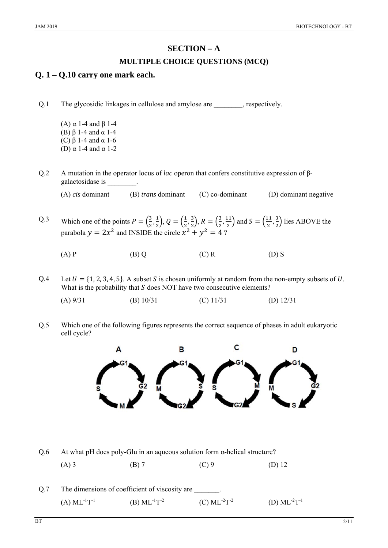# **SECTION – A**

### **MULTIPLE CHOICE QUESTIONS (MCQ)**

## **Q. 1 – Q.10 carry one mark each.**

Q.1 The glycosidic linkages in cellulose and amylose are , respectively.

- (A)  $\alpha$  1-4 and  $\beta$  1-4 (B) β 1-4 and α 1-4 (C) β 1-4 and α 1-6 (D) α 1-4 and α 1-2
- Q.2 A mutation in the operator locus of *lac* operon that confers constitutive expression of βgalactosidase is \_\_\_\_\_\_\_\_.
	- (A) *cis* dominant (B) *trans* dominant (C) co-dominant (D) dominant negative
- Q.3 Which one of the points  $P = \left(\frac{3}{2}, \frac{1}{2}\right)$  $\left(\frac{1}{2}\right), Q = \left(\frac{1}{2}, \frac{3}{2}\right)$  $\left(\frac{3}{2}\right), R = \left(\frac{3}{2}, \frac{11}{2}\right)$  and  $S = \left(\frac{11}{2}, \frac{3}{2}\right)$  $\frac{3}{2}$ ) lies ABOVE the parabola  $y = 2x^2$  and INSIDE the circle  $x^2 + y^2 = 4$  ?
	- (A) P (B) Q (C) R (D) S
- Q.4 Let  $U = \{1, 2, 3, 4, 5\}$ . A subset S is chosen uniformly at random from the non-empty subsets of U. What is the probability that  $S$  does NOT have two consecutive elements?
	- (A) 9/31 (B) 10/31 (C) 11/31 (D) 12/31
- Q.5 Which one of the following figures represents the correct sequence of phases in adult eukaryotic cell cycle?

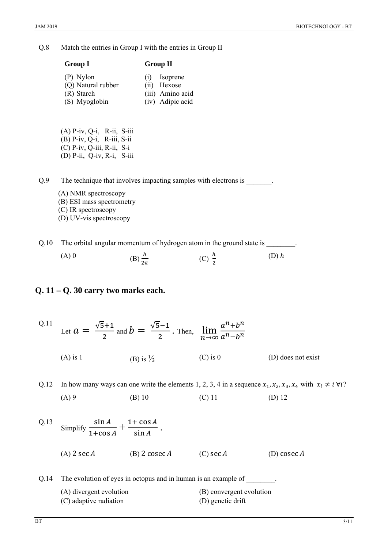Q.8 Match the entries in Group I with the entries in Group II

| <b>Group I</b>     | <b>Group II</b>  |
|--------------------|------------------|
| (P) Nylon          | Isoprene<br>(1)  |
| (Q) Natural rubber | (ii) Hexose      |
| (R) Starch         | (iii) Amino acid |
| (S) Myoglobin      | (iv) Adipic acid |

(A) P-iv, Q-i, R-ii, S-iii (B) P-iv, Q-i, R-iii, S-ii (C) P-iv, Q-iii, R-ii, S-i (D) P-ii, Q-iv, R-i, S-iii

Q.9 The technique that involves impacting samples with electrons is \_\_\_\_\_\_\_.

- (A) NMR spectroscopy (B) ESI mass spectrometry (C) IR spectroscopy (D) UV-vis spectroscopy
- Q.10 The orbital angular momentum of hydrogen atom in the ground state is \_\_\_\_\_\_\_.
	- (A) 0 (B)  $\frac{h}{2\pi}$  $(C)$   $\frac{h}{2}$  $(D)$   $h$

### **Q. 11 – Q. 30 carry two marks each.**

| Q.11 |            | Let $a = \frac{\sqrt{5}+1}{2}$ and $b = \frac{\sqrt{5}-1}{2}$ . Then, $\lim_{n \to \infty} \frac{a^n + b^n}{a^n - b^n}$ |            |                    |
|------|------------|-------------------------------------------------------------------------------------------------------------------------|------------|--------------------|
|      | $(A)$ is 1 | (B) is $\frac{1}{2}$                                                                                                    | $(C)$ is 0 | (D) does not exist |

Q.12 In how many ways can one write the elements 1, 2, 3, 4 in a sequence  $x_1, x_2, x_3, x_4$  with  $x_i \neq i \forall i$ ? (A) 9 (B) 10 (C) 11 (D) 12

| Q.13 | Simplify $\frac{\sin A}{1+\cos A} + \frac{1+\cos A}{\sin A}$ . |                 |             |               |
|------|----------------------------------------------------------------|-----------------|-------------|---------------|
|      | $(A)$ 2 sec A                                                  | (B) 2 cosec $A$ | $(C)$ sec A | (D) cosec $A$ |

Q.14 The evolution of eyes in octopus and in human is an example of  $\qquad \qquad$ .

- (A) divergent evolution (B) convergent evolution
- (C) adaptive radiation (D) genetic drift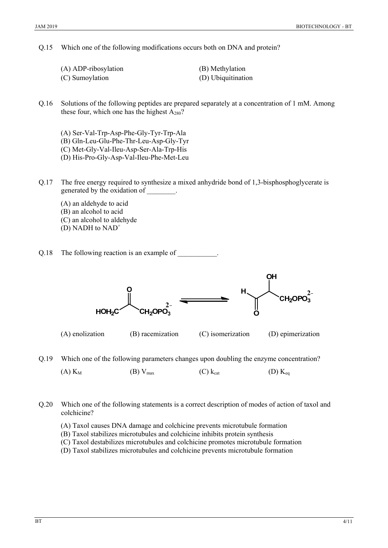#### Q.15 Which one of the following modifications occurs both on DNA and protein?

| (A) ADP-ribosylation | (B) Methylation    |
|----------------------|--------------------|
| (C) Sumoylation      | (D) Ubiquitination |

Q.16 Solutions of the following peptides are prepared separately at a concentration of 1 mM. Among these four, which one has the highest  $A_{280}$ ?

- (A) Ser-Val-Trp-Asp-Phe-Gly-Tyr-Trp-Ala
- (B) Gln-Leu-Glu-Phe-Thr-Leu-Asp-Gly-Tyr
- (C) Met-Gly-Val-Ileu-Asp-Ser-Ala-Trp-His

(D) His-Pro-Gly-Asp-Val-Ileu-Phe-Met-Leu

- Q.17 The free energy required to synthesize a mixed anhydride bond of 1,3-bisphosphoglycerate is generated by the oxidation of \_\_\_\_\_\_\_\_.
	- (A) an aldehyde to acid (B) an alcohol to acid
	- (C) an alcohol to aldehyde
	- (D) NADH to  $NAD^+$
- Q.18 The following reaction is an example of  $\qquad \qquad$



(A) enolization (B) racemization (C) isomerization (D) epimerization

Q.19 Which one of the following parameters changes upon doubling the enzyme concentration?

(A)  $K_M$  (B)  $V_{max}$  (C)  $k_{cat}$  (D)  $K_{eq}$ 

Q.20 Which one of the following statements is a correct description of modes of action of taxol and colchicine?

- (A) Taxol causes DNA damage and colchicine prevents microtubule formation
- (B) Taxol stabilizes microtubules and colchicine inhibits protein synthesis
- (C) Taxol destabilizes microtubules and colchicine promotes microtubule formation
- (D) Taxol stabilizes microtubules and colchicine prevents microtubule formation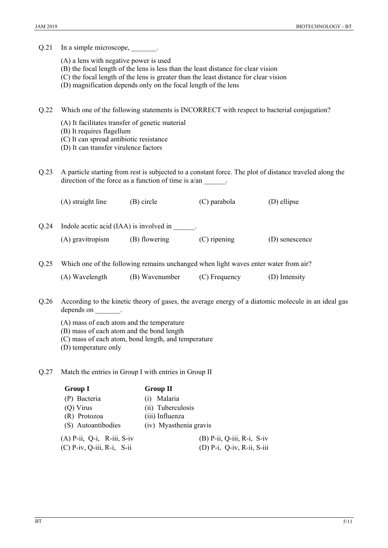Q.21 In a simple microscope,

- (A) a lens with negative power is used
- (B) the focal length of the lens is less than the least distance for clear vision
- (C) the focal length of the lens is greater than the least distance for clear vision
- (D) magnification depends only on the focal length of the lens

Q.22 Which one of the following statements is INCORRECT with respect to bacterial conjugation?

- (A) It facilitates transfer of genetic material
- (B) It requires flagellum
- (C) It can spread antibiotic resistance
- (D) It can transfer virulence factors

Q.23 A particle starting from rest is subjected to a constant force. The plot of distance traveled along the direction of the force as a function of time is  $a/an$ 

|      | (A) straight line                       | (B) circle | (C) parabola | (D) ellipse |
|------|-----------------------------------------|------------|--------------|-------------|
| 0.24 | Indole acetic acid (IAA) is involved in |            |              |             |

(A) gravitropism (B) flowering (C) ripening (D) senescence

Q.25 Which one of the following remains unchanged when light waves enter water from air? (A) Wavelength (B) Wavenumber (C) Frequency (D) Intensity

- Q.26 According to the kinetic theory of gases, the average energy of a diatomic molecule in an ideal gas depends on  $\qquad$ .
	- (A) mass of each atom and the temperature
	- (B) mass of each atom and the bond length
	- (C) mass of each atom, bond length, and temperature
	- (D) temperature only
- Q.27 Match the entries in Group I with entries in Group II

| <b>Group I</b>               | <b>Group II</b>              |
|------------------------------|------------------------------|
| (P) Bacteria                 | Malaria<br>(i)               |
| $(Q)$ Virus                  | (ii) Tuberculosis            |
| (R) Protozoa                 | (iii) Influenza              |
| (S) Autoantibodies           | (iv) Myasthenia gravis       |
| $(A)$ P-ii, Q-i, R-iii, S-iv | $(B)$ P-ii, Q-iii, R-i, S-iv |
| $(C)$ P-iv, Q-iii, R-i, S-ii | $(D)$ P-i, Q-iv, R-ii, S-iii |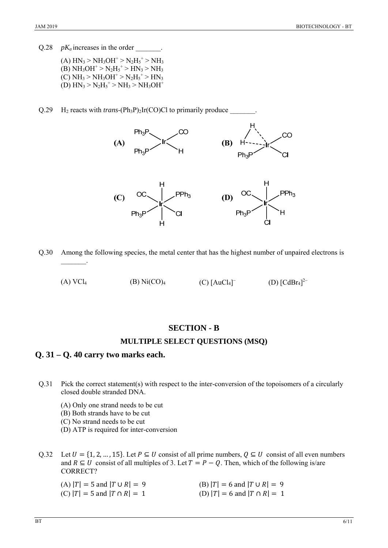Q.28 *pK<sub>a</sub>* increases in the order

- $(A) HN_3 > NH_3OH^+ > N_2H_5^+ > NH_3$  $(B) NH<sub>3</sub>OH<sup>+</sup> > N<sub>2</sub>H<sub>5</sub><sup>+</sup> > HN<sub>3</sub> > NH<sub>3</sub>$  $(C) NH<sub>3</sub> > NH<sub>3</sub>OH<sup>+</sup> > N<sub>2</sub>H<sub>5</sub><sup>+</sup> > HN<sub>3</sub>$  $(D) HN_3 > N_2H_5^+ > NH_3 > NH_3OH^+$
- Q.29  $\,$  H<sub>2</sub> reacts with *trans*-(Ph<sub>3</sub>P)<sub>2</sub>Ir(CO)Cl to primarily produce



Q.30 Among the following species, the metal center that has the highest number of unpaired electrons is  $\mathcal{L}=\mathcal{L}^{\mathcal{L}}$ 

(A)  $VCl_4$  (B)  $Ni(CO)_4$  $(C)$  [AuCl<sub>4</sub>]<sup>-</sup> (D)  $[CdBr_4]^{2-}$ 

### **SECTION - B**

### **MULTIPLE SELECT QUESTIONS (MSQ)**

### **Q. 31 – Q. 40 carry two marks each.**

- Q.31 Pick the correct statement(s) with respect to the inter-conversion of the topoisomers of a circularly closed double stranded DNA.
	- (A) Only one strand needs to be cut
	- (B) Both strands have to be cut
	- (C) No strand needs to be cut
	- (D) ATP is required for inter-conversion

Q.32 Let  $U = \{1, 2, ..., 15\}$ . Let  $P \subseteq U$  consist of all prime numbers,  $Q \subseteq U$  consist of all even numbers and  $R \subseteq U$  consist of all multiples of 3. Let  $T = P - Q$ . Then, which of the following is/are CORRECT?

| (A) $ T  = 5$ and $ T \cup R  = 9$ | (B) $ T  = 6$ and $ T \cup R  = 9$ |
|------------------------------------|------------------------------------|
| (C) $ T  = 5$ and $ T \cap R  = 1$ | $(D)$  T  = 6 and  T $\cap$ R  = 1 |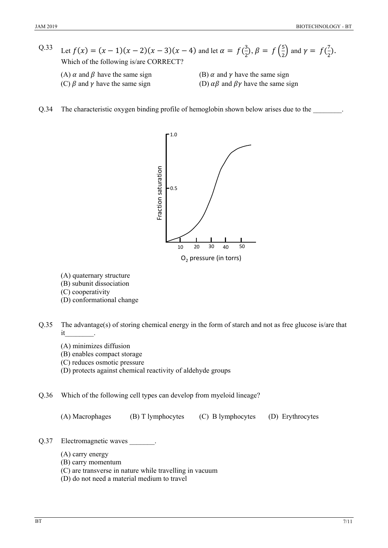- Q.33 Let  $f(x) = (x 1)(x 2)(x 3)(x 4)$  and let  $\alpha = f(\frac{3}{x})$  $(\frac{3}{2}), \beta = f(\frac{5}{2})$  $\left(\frac{5}{2}\right)$  and  $\gamma = f\left(\frac{7}{2}\right)$  $\frac{7}{2}$ ). Which of the following is/are CORRECT?
	-
	- (A)  $\alpha$  and  $\beta$  have the same sign (B)  $\alpha$  and  $\gamma$  have the same sign
	- (C)  $\beta$  and  $\gamma$  have the same sign (D)  $\alpha\beta$  and  $\beta\gamma$  have the same sign
- Q.34 The characteristic oxygen binding profile of hemoglobin shown below arises due to the \_\_\_\_\_\_\_\_.



- (A) quaternary structure
- (B) subunit dissociation
- (C) cooperativity
- (D) conformational change
- Q.35 The advantage(s) of storing chemical energy in the form of starch and not as free glucose is/are that it\_\_\_\_\_\_\_\_.
	- (A) minimizes diffusion
	- (B) enables compact storage
	- (C) reduces osmotic pressure
	- (D) protects against chemical reactivity of aldehyde groups
- Q.36 Which of the following cell types can develop from myeloid lineage?

(A) Macrophages (B) T lymphocytes (C) B lymphocytes (D) Erythrocytes

- Q.37 Electromagnetic waves
	- (A) carry energy
	- (B) carry momentum
	- (C) are transverse in nature while travelling in vacuum
	- (D) do not need a material medium to travel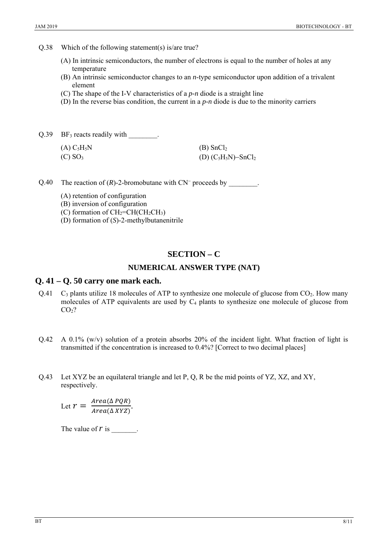Q.38 Which of the following statement(s) is/are true?

- (A) In intrinsic semiconductors, the number of electrons is equal to the number of holes at any temperature
- (B) An intrinsic semiconductor changes to an *n*-type semiconductor upon addition of a trivalent element
- (C) The shape of the I-V characteristics of a *p-n* diode is a straight line
- (D) In the reverse bias condition, the current in a *p-n* diode is due to the minority carriers

 $Q.39$  BF<sub>3</sub> reacts readily with  $\qquad \qquad$ .

| (A) C <sub>5</sub> H <sub>5</sub> N | (B) SnCl <sub>2</sub>              |
|-------------------------------------|------------------------------------|
| $(C)$ SO <sub>3</sub>               | (D) $(C_5H_5N)$ -SnCl <sub>2</sub> |

Q.40 The reaction of  $(R)$ -2-bromobutane with  $CN^-$  proceeds by

(A) retention of configuration

(B) inversion of configuration

(C) formation of  $CH_2=CH(CH_2CH_3)$ 

(D) formation of (*S*)-2-methylbutanenitrile

### **SECTION – C**

#### **NUMERICAL ANSWER TYPE (NAT)**

#### **Q. 41 – Q. 50 carry one mark each.**

- Q.41  $\,$  C<sub>3</sub> plants utilize 18 molecules of ATP to synthesize one molecule of glucose from CO<sub>2</sub>. How many molecules of ATP equivalents are used by  $C_4$  plants to synthesize one molecule of glucose from  $CO<sub>2</sub>$ ?
- $Q.42$  A 0.1% (w/v) solution of a protein absorbs 20% of the incident light. What fraction of light is transmitted if the concentration is increased to 0.4%? [Correct to two decimal places]
- Q.43 Let XYZ be an equilateral triangle and let P, Q, R be the mid points of YZ, XZ, and XY, respectively.

Let  $r = \frac{Area(\Delta PQR)}{Area(\Delta XYZ)}$ .

The value of r is  $\blacksquare$ .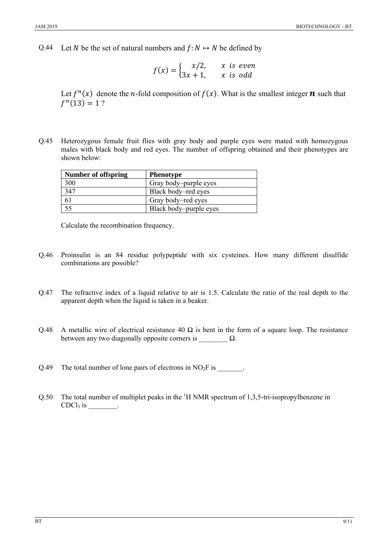Q.44 Let N be the set of natural numbers and  $f: N \mapsto N$  be defined by

$$
f(x) = \begin{cases} x/2, & x \text{ is even} \\ 3x + 1, & x \text{ is odd} \end{cases}
$$

Let  $f^{n}(x)$  denote the *n*-fold composition of  $f(x)$ . What is the smallest integer **n** such that  $f^{n}(13) = 1$ ?

Q.45 Heterozygous female fruit flies with gray body and purple eyes were mated with homozygous males with black body and red eyes. The number of offspring obtained and their phenotypes are shown below:

| <b>Number of offspring</b> | <b>Phenotype</b>       |
|----------------------------|------------------------|
| 300                        | Gray body-purple eyes  |
| 347                        | Black body-red eyes    |
| 61                         | Gray body-red eyes     |
| 55                         | Black body-purple eyes |

Calculate the recombination frequency.

- Q.46 Proinsulin is an 84 residue polypeptide with six cysteines. How many different disulfide combinations are possible?
- Q.47 The refractive index of a liquid relative to air is 1.5. Calculate the ratio of the real depth to the apparent depth when the liquid is taken in a beaker.
- Q.48 A metallic wire of electrical resistance 40  $\Omega$  is bent in the form of a square loop. The resistance between any two diagonally opposite corners is  $\Omega$ .

Q.49 The total number of lone pairs of electrons in  $NO<sub>2</sub>F$  is  $\qquad \qquad$ .

Q.50 The total number of multiplet peaks in the  ${}^{1}H$  NMR spectrum of 1,3,5-tri-isopropylbenzene in CDCl<sub>3</sub> is  $\frac{1}{\sqrt{1-\frac{1}{c^2}}}$ .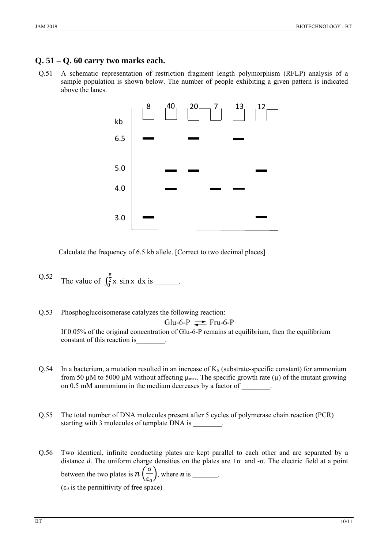## **Q. 51 – Q. 60 carry two marks each.**

Q.51 A schematic representation of restriction fragment length polymorphism (RFLP) analysis of a sample population is shown below. The number of people exhibiting a given pattern is indicated above the lanes.



Calculate the frequency of 6.5 kb allele. [Correct to two decimal places]

- Q.52 The value of  $\int_0^{\frac{\pi}{2}} x \sin x \ dx$  $\int_0^2$  x sin x dx is \_\_\_\_\_\_.
- Q.53 Phosphoglucoisomerase catalyzes the following reaction: Glu-6-P  $\rightleftharpoons$  Fru-6-P If 0.05% of the original concentration of Glu-6-P remains at equilibrium, then the equilibrium constant of this reaction is\_\_\_\_\_\_\_\_.
- $Q.54$  In a bacterium, a mutation resulted in an increase of  $K<sub>S</sub>$  (substrate-specific constant) for ammonium from 50  $\mu$ M to 5000  $\mu$ M without affecting  $\mu_{\text{max}}$ . The specific growth rate ( $\mu$ ) of the mutant growing on 0.5 mM ammonium in the medium decreases by a factor of \_\_\_\_\_\_\_\_*.*
- Q.55 The total number of DNA molecules present after 5 cycles of polymerase chain reaction (PCR) starting with 3 molecules of template DNA is  $\cdot$
- Q.56 Two identical, infinite conducting plates are kept parallel to each other and are separated by a distance *d*. The uniform charge densities on the plates are +σ and -σ. The electric field at a point between the two plates is  $n\left(\frac{\sigma}{\epsilon_0}\right)$ , where *n* is \_\_\_\_\_\_. ( $\varepsilon_0$  is the permittivity of free space)